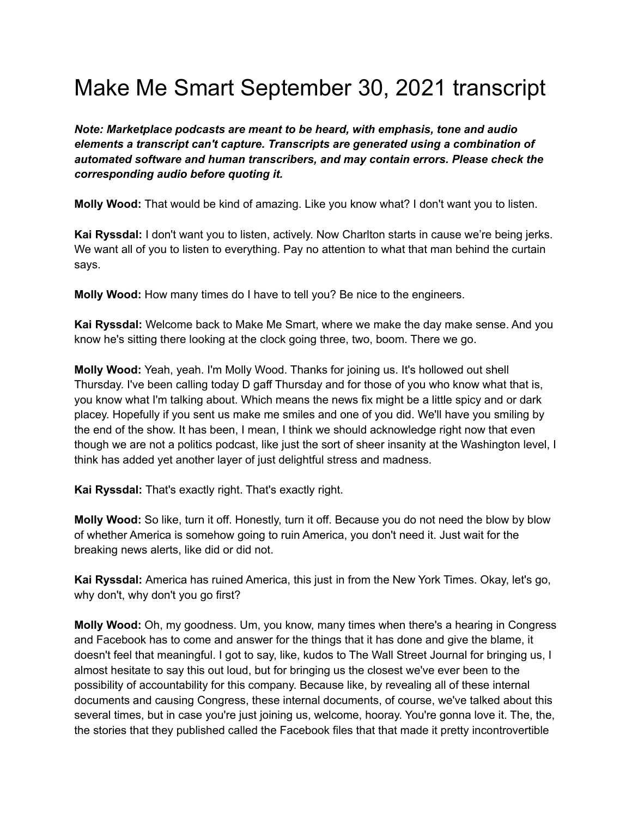## Make Me Smart September 30, 2021 transcript

*Note: Marketplace podcasts are meant to be heard, with emphasis, tone and audio elements a transcript can't capture. Transcripts are generated using a combination of automated software and human transcribers, and may contain errors. Please check the corresponding audio before quoting it.*

**Molly Wood:** That would be kind of amazing. Like you know what? I don't want you to listen.

**Kai Ryssdal:** I don't want you to listen, actively. Now Charlton starts in cause we're being jerks. We want all of you to listen to everything. Pay no attention to what that man behind the curtain says.

**Molly Wood:** How many times do I have to tell you? Be nice to the engineers.

**Kai Ryssdal:** Welcome back to Make Me Smart, where we make the day make sense. And you know he's sitting there looking at the clock going three, two, boom. There we go.

**Molly Wood:** Yeah, yeah. I'm Molly Wood. Thanks for joining us. It's hollowed out shell Thursday. I've been calling today D gaff Thursday and for those of you who know what that is, you know what I'm talking about. Which means the news fix might be a little spicy and or dark placey. Hopefully if you sent us make me smiles and one of you did. We'll have you smiling by the end of the show. It has been, I mean, I think we should acknowledge right now that even though we are not a politics podcast, like just the sort of sheer insanity at the Washington level, I think has added yet another layer of just delightful stress and madness.

**Kai Ryssdal:** That's exactly right. That's exactly right.

**Molly Wood:** So like, turn it off. Honestly, turn it off. Because you do not need the blow by blow of whether America is somehow going to ruin America, you don't need it. Just wait for the breaking news alerts, like did or did not.

**Kai Ryssdal:** America has ruined America, this just in from the New York Times. Okay, let's go, why don't, why don't you go first?

**Molly Wood:** Oh, my goodness. Um, you know, many times when there's a hearing in Congress and Facebook has to come and answer for the things that it has done and give the blame, it doesn't feel that meaningful. I got to say, like, kudos to The Wall Street Journal for bringing us, I almost hesitate to say this out loud, but for bringing us the closest we've ever been to the possibility of accountability for this company. Because like, by revealing all of these internal documents and causing Congress, these internal documents, of course, we've talked about this several times, but in case you're just joining us, welcome, hooray. You're gonna love it. The, the, the stories that they published called the Facebook files that that made it pretty incontrovertible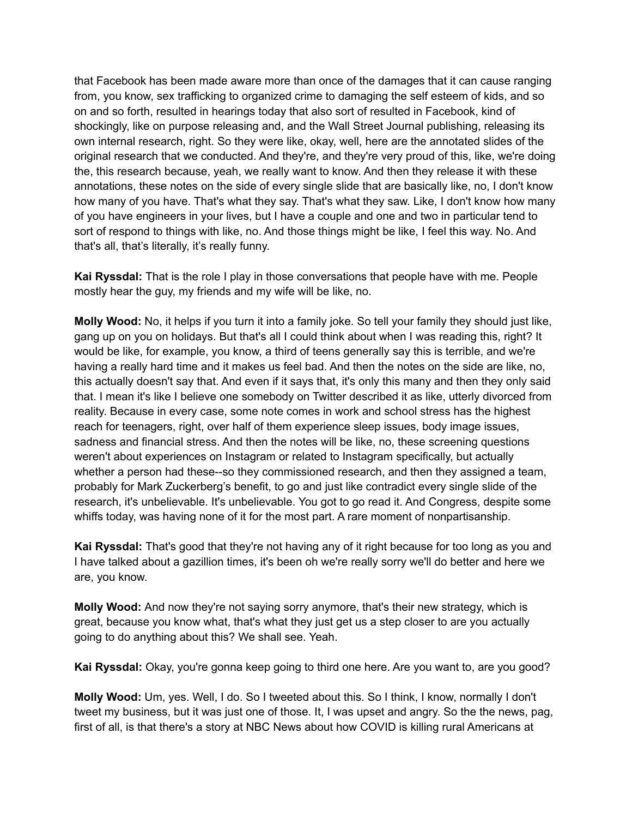that Facebook has been made aware more than once of the damages that it can cause ranging from, you know, sex trafficking to organized crime to damaging the self esteem of kids, and so on and so forth, resulted in hearings today that also sort of resulted in Facebook, kind of shockingly, like on purpose releasing and, and the Wall Street Journal publishing, releasing its own internal research, right. So they were like, okay, well, here are the annotated slides of the original research that we conducted. And they're, and they're very proud of this, like, we're doing the, this research because, yeah, we really want to know. And then they release it with these annotations, these notes on the side of every single slide that are basically like, no, I don't know how many of you have. That's what they say. That's what they saw. Like, I don't know how many of you have engineers in your lives, but I have a couple and one and two in particular tend to sort of respond to things with like, no. And those things might be like, I feel this way. No. And that's all, that's literally, it's really funny.

**Kai Ryssdal:** That is the role I play in those conversations that people have with me. People mostly hear the guy, my friends and my wife will be like, no.

**Molly Wood:** No, it helps if you turn it into a family joke. So tell your family they should just like, gang up on you on holidays. But that's all I could think about when I was reading this, right? It would be like, for example, you know, a third of teens generally say this is terrible, and we're having a really hard time and it makes us feel bad. And then the notes on the side are like, no, this actually doesn't say that. And even if it says that, it's only this many and then they only said that. I mean it's like I believe one somebody on Twitter described it as like, utterly divorced from reality. Because in every case, some note comes in work and school stress has the highest reach for teenagers, right, over half of them experience sleep issues, body image issues, sadness and financial stress. And then the notes will be like, no, these screening questions weren't about experiences on Instagram or related to Instagram specifically, but actually whether a person had these--so they commissioned research, and then they assigned a team, probably for Mark Zuckerberg's benefit, to go and just like contradict every single slide of the research, it's unbelievable. It's unbelievable. You got to go read it. And Congress, despite some whiffs today, was having none of it for the most part. A rare moment of nonpartisanship.

**Kai Ryssdal:** That's good that they're not having any of it right because for too long as you and I have talked about a gazillion times, it's been oh we're really sorry we'll do better and here we are, you know.

**Molly Wood:** And now they're not saying sorry anymore, that's their new strategy, which is great, because you know what, that's what they just get us a step closer to are you actually going to do anything about this? We shall see. Yeah.

**Kai Ryssdal:** Okay, you're gonna keep going to third one here. Are you want to, are you good?

**Molly Wood:** Um, yes. Well, I do. So I tweeted about this. So I think, I know, normally I don't tweet my business, but it was just one of those. It, I was upset and angry. So the the news, pag, first of all, is that there's a story at NBC News about how COVID is killing rural Americans at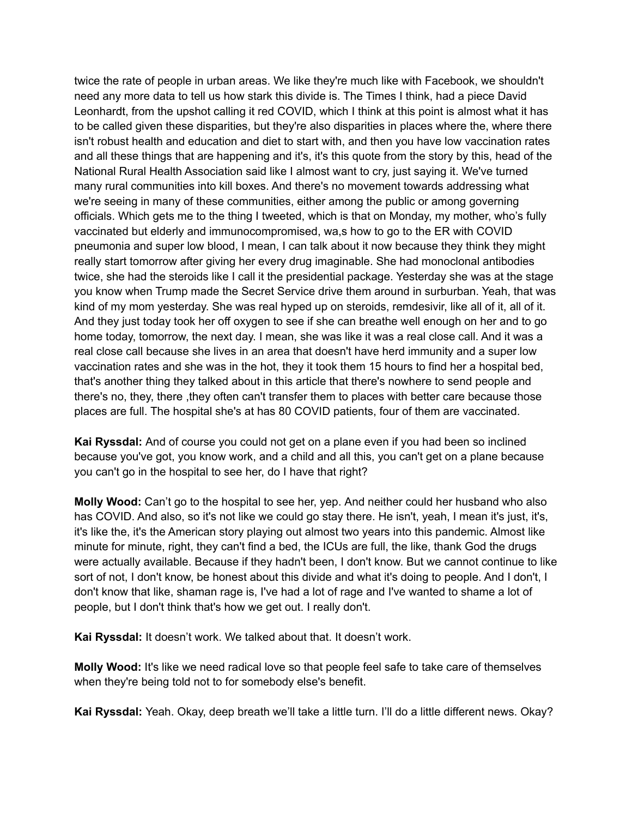twice the rate of people in urban areas. We like they're much like with Facebook, we shouldn't need any more data to tell us how stark this divide is. The Times I think, had a piece David Leonhardt, from the upshot calling it red COVID, which I think at this point is almost what it has to be called given these disparities, but they're also disparities in places where the, where there isn't robust health and education and diet to start with, and then you have low vaccination rates and all these things that are happening and it's, it's this quote from the story by this, head of the National Rural Health Association said like I almost want to cry, just saying it. We've turned many rural communities into kill boxes. And there's no movement towards addressing what we're seeing in many of these communities, either among the public or among governing officials. Which gets me to the thing I tweeted, which is that on Monday, my mother, who's fully vaccinated but elderly and immunocompromised, wa,s how to go to the ER with COVID pneumonia and super low blood, I mean, I can talk about it now because they think they might really start tomorrow after giving her every drug imaginable. She had monoclonal antibodies twice, she had the steroids like I call it the presidential package. Yesterday she was at the stage you know when Trump made the Secret Service drive them around in surburban. Yeah, that was kind of my mom yesterday. She was real hyped up on steroids, remdesivir, like all of it, all of it. And they just today took her off oxygen to see if she can breathe well enough on her and to go home today, tomorrow, the next day. I mean, she was like it was a real close call. And it was a real close call because she lives in an area that doesn't have herd immunity and a super low vaccination rates and she was in the hot, they it took them 15 hours to find her a hospital bed, that's another thing they talked about in this article that there's nowhere to send people and there's no, they, there ,they often can't transfer them to places with better care because those places are full. The hospital she's at has 80 COVID patients, four of them are vaccinated.

**Kai Ryssdal:** And of course you could not get on a plane even if you had been so inclined because you've got, you know work, and a child and all this, you can't get on a plane because you can't go in the hospital to see her, do I have that right?

**Molly Wood:** Can't go to the hospital to see her, yep. And neither could her husband who also has COVID. And also, so it's not like we could go stay there. He isn't, yeah, I mean it's just, it's, it's like the, it's the American story playing out almost two years into this pandemic. Almost like minute for minute, right, they can't find a bed, the ICUs are full, the like, thank God the drugs were actually available. Because if they hadn't been, I don't know. But we cannot continue to like sort of not, I don't know, be honest about this divide and what it's doing to people. And I don't, I don't know that like, shaman rage is, I've had a lot of rage and I've wanted to shame a lot of people, but I don't think that's how we get out. I really don't.

**Kai Ryssdal:** It doesn't work. We talked about that. It doesn't work.

**Molly Wood:** It's like we need radical love so that people feel safe to take care of themselves when they're being told not to for somebody else's benefit.

**Kai Ryssdal:** Yeah. Okay, deep breath we'll take a little turn. I'll do a little different news. Okay?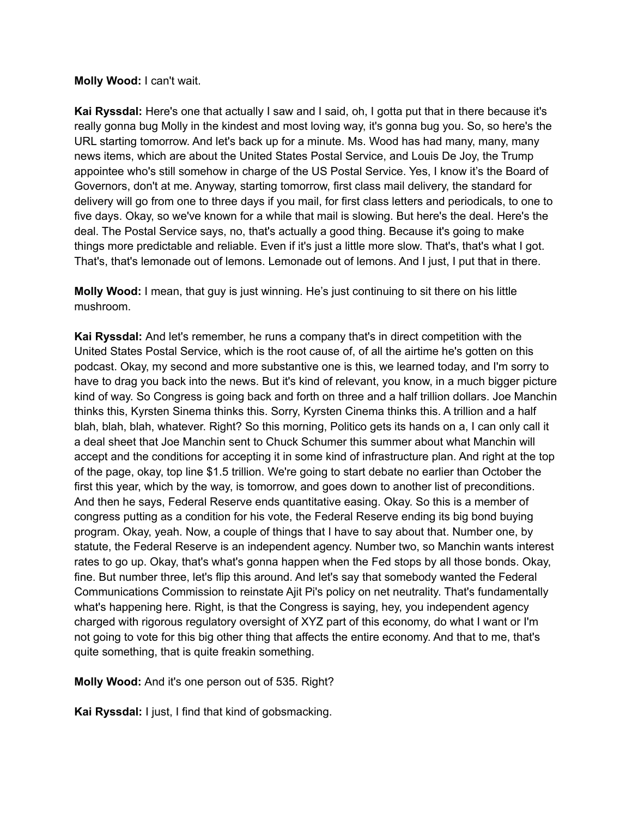## **Molly Wood:** I can't wait.

**Kai Ryssdal:** Here's one that actually I saw and I said, oh, I gotta put that in there because it's really gonna bug Molly in the kindest and most loving way, it's gonna bug you. So, so here's the URL starting tomorrow. And let's back up for a minute. Ms. Wood has had many, many, many news items, which are about the United States Postal Service, and Louis De Joy, the Trump appointee who's still somehow in charge of the US Postal Service. Yes, I know it's the Board of Governors, don't at me. Anyway, starting tomorrow, first class mail delivery, the standard for delivery will go from one to three days if you mail, for first class letters and periodicals, to one to five days. Okay, so we've known for a while that mail is slowing. But here's the deal. Here's the deal. The Postal Service says, no, that's actually a good thing. Because it's going to make things more predictable and reliable. Even if it's just a little more slow. That's, that's what I got. That's, that's lemonade out of lemons. Lemonade out of lemons. And I just, I put that in there.

**Molly Wood:** I mean, that guy is just winning. He's just continuing to sit there on his little mushroom.

**Kai Ryssdal:** And let's remember, he runs a company that's in direct competition with the United States Postal Service, which is the root cause of, of all the airtime he's gotten on this podcast. Okay, my second and more substantive one is this, we learned today, and I'm sorry to have to drag you back into the news. But it's kind of relevant, you know, in a much bigger picture kind of way. So Congress is going back and forth on three and a half trillion dollars. Joe Manchin thinks this, Kyrsten Sinema thinks this. Sorry, Kyrsten Cinema thinks this. A trillion and a half blah, blah, blah, whatever. Right? So this morning, Politico gets its hands on a, I can only call it a deal sheet that Joe Manchin sent to Chuck Schumer this summer about what Manchin will accept and the conditions for accepting it in some kind of infrastructure plan. And right at the top of the page, okay, top line \$1.5 trillion. We're going to start debate no earlier than October the first this year, which by the way, is tomorrow, and goes down to another list of preconditions. And then he says, Federal Reserve ends quantitative easing. Okay. So this is a member of congress putting as a condition for his vote, the Federal Reserve ending its big bond buying program. Okay, yeah. Now, a couple of things that I have to say about that. Number one, by statute, the Federal Reserve is an independent agency. Number two, so Manchin wants interest rates to go up. Okay, that's what's gonna happen when the Fed stops by all those bonds. Okay, fine. But number three, let's flip this around. And let's say that somebody wanted the Federal Communications Commission to reinstate Ajit Pi's policy on net neutrality. That's fundamentally what's happening here. Right, is that the Congress is saying, hey, you independent agency charged with rigorous regulatory oversight of XYZ part of this economy, do what I want or I'm not going to vote for this big other thing that affects the entire economy. And that to me, that's quite something, that is quite freakin something.

**Molly Wood:** And it's one person out of 535. Right?

**Kai Ryssdal:** I just, I find that kind of gobsmacking.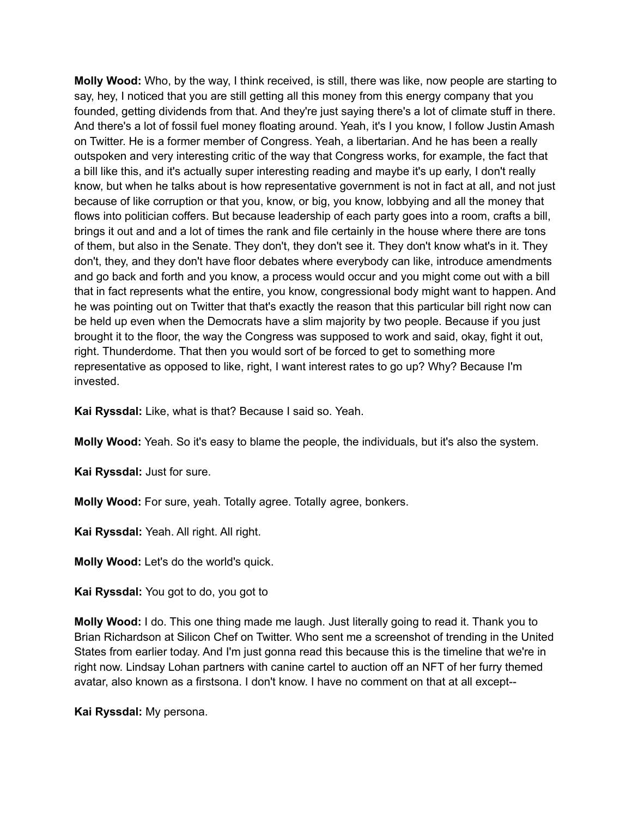**Molly Wood:** Who, by the way, I think received, is still, there was like, now people are starting to say, hey, I noticed that you are still getting all this money from this energy company that you founded, getting dividends from that. And they're just saying there's a lot of climate stuff in there. And there's a lot of fossil fuel money floating around. Yeah, it's I you know, I follow Justin Amash on Twitter. He is a former member of Congress. Yeah, a libertarian. And he has been a really outspoken and very interesting critic of the way that Congress works, for example, the fact that a bill like this, and it's actually super interesting reading and maybe it's up early, I don't really know, but when he talks about is how representative government is not in fact at all, and not just because of like corruption or that you, know, or big, you know, lobbying and all the money that flows into politician coffers. But because leadership of each party goes into a room, crafts a bill, brings it out and and a lot of times the rank and file certainly in the house where there are tons of them, but also in the Senate. They don't, they don't see it. They don't know what's in it. They don't, they, and they don't have floor debates where everybody can like, introduce amendments and go back and forth and you know, a process would occur and you might come out with a bill that in fact represents what the entire, you know, congressional body might want to happen. And he was pointing out on Twitter that that's exactly the reason that this particular bill right now can be held up even when the Democrats have a slim majority by two people. Because if you just brought it to the floor, the way the Congress was supposed to work and said, okay, fight it out, right. Thunderdome. That then you would sort of be forced to get to something more representative as opposed to like, right, I want interest rates to go up? Why? Because I'm invested.

**Kai Ryssdal:** Like, what is that? Because I said so. Yeah.

**Molly Wood:** Yeah. So it's easy to blame the people, the individuals, but it's also the system.

**Kai Ryssdal:** Just for sure.

**Molly Wood:** For sure, yeah. Totally agree. Totally agree, bonkers.

**Kai Ryssdal:** Yeah. All right. All right.

**Molly Wood:** Let's do the world's quick.

**Kai Ryssdal:** You got to do, you got to

**Molly Wood:** I do. This one thing made me laugh. Just literally going to read it. Thank you to Brian Richardson at Silicon Chef on Twitter. Who sent me a screenshot of trending in the United States from earlier today. And I'm just gonna read this because this is the timeline that we're in right now. Lindsay Lohan partners with canine cartel to auction off an NFT of her furry themed avatar, also known as a firstsona. I don't know. I have no comment on that at all except--

**Kai Ryssdal:** My persona.